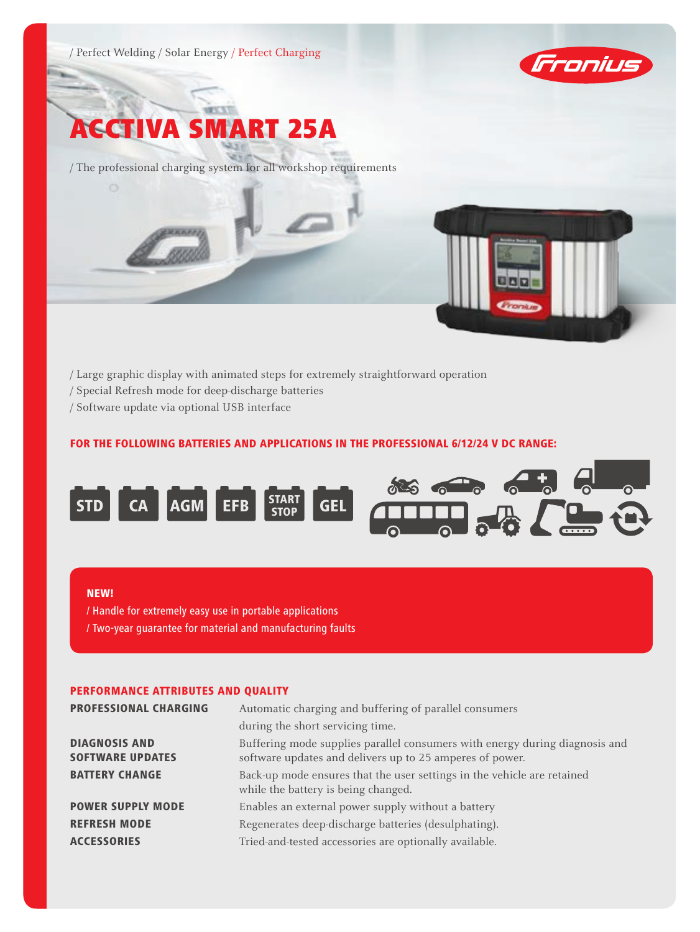





/ The professional charging system for all workshop requirements

- / Large graphic display with animated steps for extremely straightforward operation
- / Special Refresh mode for deep-discharge batteries
- / Software update via optional USB interface

# For the following batteries and applications in the professional 6/12/24 V DC range:



#### NEW!

/ Handle for extremely easy use in portable applications / Two-year guarantee for material and manufacturing faults

### Performance attributes and quality

| <b>PROFESSIONAL CHARGING</b>                    | Automatic charging and buffering of parallel consumers                                                                                  |  |
|-------------------------------------------------|-----------------------------------------------------------------------------------------------------------------------------------------|--|
|                                                 | during the short servicing time.                                                                                                        |  |
| <b>DIAGNOSIS AND</b><br><b>SOFTWARE UPDATES</b> | Buffering mode supplies parallel consumers with energy during diagnosis and<br>software updates and delivers up to 25 amperes of power. |  |
| <b>BATTERY CHANGE</b>                           | Back-up mode ensures that the user settings in the vehicle are retained<br>while the battery is being changed.                          |  |
| <b>POWER SUPPLY MODE</b>                        | Enables an external power supply without a battery                                                                                      |  |
| <b>REFRESH MODE</b>                             | Regenerates deep-discharge batteries (desulphating).                                                                                    |  |
| <b>ACCESSORIES</b>                              | Tried-and-tested accessories are optionally available.                                                                                  |  |